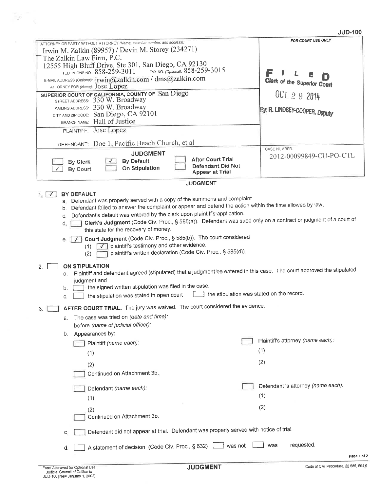## **JUD-100**

|                                                                                                                                                                                                                                                                                                                                                                                                                                                  | FOR COURT USE ONLY                             |  |  |  |
|--------------------------------------------------------------------------------------------------------------------------------------------------------------------------------------------------------------------------------------------------------------------------------------------------------------------------------------------------------------------------------------------------------------------------------------------------|------------------------------------------------|--|--|--|
| ATTORNEY OR PARTY WITHOUT ATTORNEY (Name, state bar number, and address):                                                                                                                                                                                                                                                                                                                                                                        |                                                |  |  |  |
| Irwin M. Zalkin (89957) / Devin M. Storey (234271)<br>The Zalkin Law Firm, P.C.                                                                                                                                                                                                                                                                                                                                                                  |                                                |  |  |  |
| 12555 High Bluff Drive, Ste 301, San Diego, CA 92130                                                                                                                                                                                                                                                                                                                                                                                             |                                                |  |  |  |
| FAX NO. (Optional): 858-259-3015<br>TELEPHONE NO.: 858-259-3011                                                                                                                                                                                                                                                                                                                                                                                  | F                                              |  |  |  |
| E-MAIL ADDRESS (Optional): irwin@zalkin.com / dms@zalkin.com                                                                                                                                                                                                                                                                                                                                                                                     | Clerk of the Superior Court                    |  |  |  |
| ATTORNEY FOR (Name): JOSE LOPEZ                                                                                                                                                                                                                                                                                                                                                                                                                  |                                                |  |  |  |
| SUPERIOR COURT OF CALIFORNIA, COUNTY OF San Diego<br>STREET ADDRESS: 330 W. Broadway                                                                                                                                                                                                                                                                                                                                                             | OCT 2 9 2014                                   |  |  |  |
| MAILING ADDRESS: 330 W. Broadway                                                                                                                                                                                                                                                                                                                                                                                                                 | By: R. LINDSEY-COOPER, Deputy                  |  |  |  |
| CITY AND ZIP CODE: San Diego, CA 92101                                                                                                                                                                                                                                                                                                                                                                                                           |                                                |  |  |  |
| BRANCH NAME: Hall of Justice                                                                                                                                                                                                                                                                                                                                                                                                                     |                                                |  |  |  |
| PLAINTIFF: Jose Lopez                                                                                                                                                                                                                                                                                                                                                                                                                            |                                                |  |  |  |
| DEFENDANT: Doe 1, Pacific Beach Church, et al                                                                                                                                                                                                                                                                                                                                                                                                    |                                                |  |  |  |
| <b>JUDGMENT</b>                                                                                                                                                                                                                                                                                                                                                                                                                                  | <b>CASE NUMBER:</b><br>2012-00099849-CU-PO-CTL |  |  |  |
| <b>After Court Trial</b><br><b>By Default</b><br>By Clerk<br><b>Defendant Did Not</b><br><b>On Stipulation</b><br><b>By Court</b><br><b>Appear at Trial</b>                                                                                                                                                                                                                                                                                      |                                                |  |  |  |
| <b>JUDGMENT</b>                                                                                                                                                                                                                                                                                                                                                                                                                                  |                                                |  |  |  |
| BY DEFAULT<br>$1.1 \sqrt{ }$                                                                                                                                                                                                                                                                                                                                                                                                                     |                                                |  |  |  |
| a. Defendant was properly served with a copy of the summons and complaint.<br>Defendant failed to answer the complaint or appear and defend the action within the time allowed by law.<br>b.<br>Defendant's default was entered by the clerk upon plaintiff's application.<br>C.<br>Clerk's Judgment (Code Civ. Proc., § 585(a)). Defendant was sued only on a contract or judgment of a court of<br>d.<br>this state for the recovery of money. |                                                |  |  |  |
| e. <b>V Court Judgment</b> (Code Civ. Proc., § 585(b)). The court considered                                                                                                                                                                                                                                                                                                                                                                     |                                                |  |  |  |
| plaintiff's testimony and other evidence.<br>(1)<br>$\sqrt{1}$<br>plaintiff's written declaration (Code Civ. Proc., § 585(d)).<br>(2)                                                                                                                                                                                                                                                                                                            |                                                |  |  |  |
| ON STIPULATION<br>2.                                                                                                                                                                                                                                                                                                                                                                                                                             |                                                |  |  |  |
| Plaintiff and defendant agreed (stipulated) that a judgment be entered in this case. The court approved the stipulated<br>а.                                                                                                                                                                                                                                                                                                                     |                                                |  |  |  |
| judgment and                                                                                                                                                                                                                                                                                                                                                                                                                                     |                                                |  |  |  |
| the signed written stipulation was filed in the case.<br>b.                                                                                                                                                                                                                                                                                                                                                                                      |                                                |  |  |  |
| the stipulation was stated on the record.<br>the stipulation was stated in open court<br>C.                                                                                                                                                                                                                                                                                                                                                      |                                                |  |  |  |
| AFTER COURT TRIAL. The jury was waived. The court considered the evidence.<br>3.                                                                                                                                                                                                                                                                                                                                                                 |                                                |  |  |  |
| The case was tried on (date and time):<br>а.                                                                                                                                                                                                                                                                                                                                                                                                     |                                                |  |  |  |
| before (name of judicial officer):                                                                                                                                                                                                                                                                                                                                                                                                               |                                                |  |  |  |
| Appearances by:<br>b.                                                                                                                                                                                                                                                                                                                                                                                                                            |                                                |  |  |  |
| Plaintiff (name each):                                                                                                                                                                                                                                                                                                                                                                                                                           | Plaintiff's attorney (name each):              |  |  |  |
| (1)                                                                                                                                                                                                                                                                                                                                                                                                                                              | (1)                                            |  |  |  |
|                                                                                                                                                                                                                                                                                                                                                                                                                                                  |                                                |  |  |  |
| (2)                                                                                                                                                                                                                                                                                                                                                                                                                                              | (2)                                            |  |  |  |
| Continued on Attachment 3b.                                                                                                                                                                                                                                                                                                                                                                                                                      |                                                |  |  |  |
| Defendant (name each):                                                                                                                                                                                                                                                                                                                                                                                                                           | Defendant 's attorney (name each):             |  |  |  |
| (1)                                                                                                                                                                                                                                                                                                                                                                                                                                              | (1)                                            |  |  |  |
|                                                                                                                                                                                                                                                                                                                                                                                                                                                  | (2)                                            |  |  |  |
| (2)<br>Continued on Attachment 3b.                                                                                                                                                                                                                                                                                                                                                                                                               |                                                |  |  |  |
| Defendant did not appear at trial. Defendant was properly served with notice of trial.<br>С.                                                                                                                                                                                                                                                                                                                                                     |                                                |  |  |  |
| A statement of decision (Code Civ. Proc., § 632)<br>d.                                                                                                                                                                                                                                                                                                                                                                                           | requested.<br>was<br>was not                   |  |  |  |
|                                                                                                                                                                                                                                                                                                                                                                                                                                                  | Page 1 of 2                                    |  |  |  |

 $\mathcal{V}^{\pm}$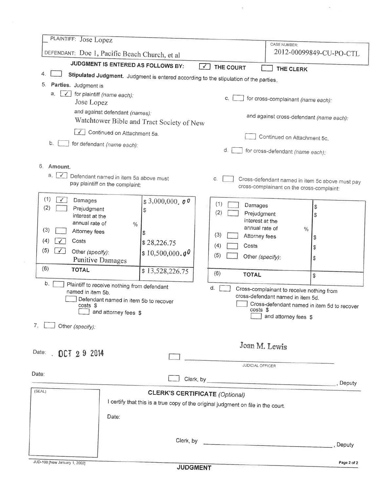| PLAINTIFF: Jose Lopez                                                                                                     |                                                                             |                                                         | <b>CASE NUMBER:</b>                             |  |  |
|---------------------------------------------------------------------------------------------------------------------------|-----------------------------------------------------------------------------|---------------------------------------------------------|-------------------------------------------------|--|--|
|                                                                                                                           | DEFENDANT: Doe 1, Pacific Beach Church, et al                               |                                                         | 2012-00099849-CU-PO-CTL                         |  |  |
|                                                                                                                           | JUDGMENT IS ENTERED AS FOLLOWS BY:                                          | $\sqrt{ }$<br>THE COURT                                 | THE CLERK                                       |  |  |
| 4.<br>Stipulated Judgment. Judgment is entered according to the stipulation of the parties.                               |                                                                             |                                                         |                                                 |  |  |
| 5.<br>Parties. Judgment is                                                                                                |                                                                             |                                                         |                                                 |  |  |
| a.<br>$\checkmark$<br>Jose Lopez                                                                                          | for plaintiff (name each):                                                  | C,                                                      | for cross-complainant (name each):              |  |  |
|                                                                                                                           | and against defendant (names):<br>Watchtower Bible and Tract Society of New |                                                         | and against cross-defendant (name each):        |  |  |
|                                                                                                                           | Continued on Attachment 5a.                                                 |                                                         |                                                 |  |  |
| b.                                                                                                                        | for defendant (name each):                                                  |                                                         | Continued on Attachment 5c.                     |  |  |
|                                                                                                                           |                                                                             | d.                                                      | for cross-defendant (name each).                |  |  |
| 6.<br>Amount.<br>$a_{-}$  <br>$\checkmark$                                                                                | Defendant named in item 5a above must<br>pay plaintiff on the complaint:    | C.                                                      | Cross-defendant named in item 5c above must pay |  |  |
|                                                                                                                           |                                                                             |                                                         | cross-complainant on the cross-complaint:       |  |  |
| (1)<br>Damages<br>(2)<br>Prejudgment<br>interest at the                                                                   | \$3,000,000,00<br>\$                                                        | (1)<br>Damages<br>(2)<br>Prejudgment<br>interest at the | \$<br>\$                                        |  |  |
| annual rate of<br>(3)                                                                                                     | $\%$                                                                        | annual rate of                                          | $\%$                                            |  |  |
| Attorney fees<br>(4)<br>Costs<br>✓                                                                                        | \$                                                                          | (3)<br>Attorney fees                                    | \$                                              |  |  |
| (5)<br>✓∣                                                                                                                 | \$28,226.75                                                                 | (4)<br>Costs                                            | \$                                              |  |  |
| Other (specify):                                                                                                          | \$10,500,000.00<br><b>Punitive Damages</b>                                  | (5)<br>Other (specify):                                 | \$                                              |  |  |
| (6)<br><b>TOTAL</b>                                                                                                       | \$13,528,226.75                                                             |                                                         |                                                 |  |  |
|                                                                                                                           |                                                                             | (6)<br><b>TOTAL</b>                                     | \$                                              |  |  |
| b.<br>Plaintiff to receive nothing from defendant<br>d.<br>Cross-complainant to receive nothing from<br>named in item 5b. |                                                                             |                                                         |                                                 |  |  |
| Defendant named in item 5b to recover                                                                                     |                                                                             |                                                         | cross-defendant named in item 5d.               |  |  |
| costs \$                                                                                                                  |                                                                             | costs \$                                                | Cross-defendant named in item 5d to recover     |  |  |
|                                                                                                                           | and attorney fees \$                                                        |                                                         | $\Box$ and attorney fees \$                     |  |  |
| 7.<br>Other (specify):                                                                                                    |                                                                             |                                                         |                                                 |  |  |
|                                                                                                                           |                                                                             |                                                         | Joan M. Lewis                                   |  |  |
| Date: 0CT 2 9 2014                                                                                                        |                                                                             |                                                         |                                                 |  |  |
|                                                                                                                           |                                                                             | JUDICIAL OFFICER                                        |                                                 |  |  |
| Date:                                                                                                                     |                                                                             |                                                         |                                                 |  |  |
| (SEAL)                                                                                                                    |                                                                             | <b>CLERK'S CERTIFICATE (Optional)</b>                   |                                                 |  |  |
| I certify that this is a true copy of the original judgment on file in the court.                                         |                                                                             |                                                         |                                                 |  |  |
|                                                                                                                           |                                                                             |                                                         |                                                 |  |  |
| Date:                                                                                                                     |                                                                             |                                                         |                                                 |  |  |
|                                                                                                                           |                                                                             |                                                         |                                                 |  |  |
|                                                                                                                           |                                                                             |                                                         | Deputy                                          |  |  |
|                                                                                                                           |                                                                             |                                                         |                                                 |  |  |

 $\mathcal{O}(\epsilon)$ 

 $\bar{\sigma}$